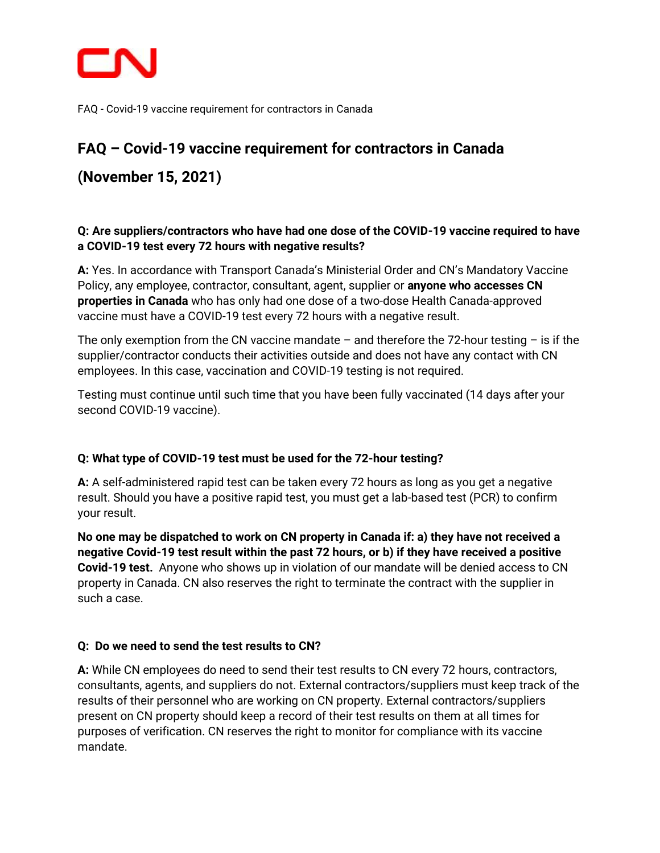

# **FAQ – Covid-19 vaccine requirement for contractors in Canada**

**(November 15, 2021)**

# **Q: Are suppliers/contractors who have had one dose of the COVID-19 vaccine required to have a COVID-19 test every 72 hours with negative results?**

**A:** Yes. In accordance with Transport Canada's Ministerial Order and CN's Mandatory Vaccine Policy, any employee, contractor, consultant, agent, supplier or **anyone who accesses CN properties in Canada** who has only had one dose of a two-dose Health Canada-approved vaccine must have a COVID-19 test every 72 hours with a negative result.

The only exemption from the CN vaccine mandate – and therefore the 72-hour testing – is if the supplier/contractor conducts their activities outside and does not have any contact with CN employees. In this case, vaccination and COVID-19 testing is not required.

Testing must continue until such time that you have been fully vaccinated (14 days after your second COVID-19 vaccine).

# **Q: What type of COVID-19 test must be used for the 72-hour testing?**

**A:** A self-administered rapid test can be taken every 72 hours as long as you get a negative result. Should you have a positive rapid test, you must get a lab-based test (PCR) to confirm your result.

**No one may be dispatched to work on CN property in Canada if: a) they have not received a negative Covid-19 test result within the past 72 hours, or b) if they have received a positive Covid-19 test.** Anyone who shows up in violation of our mandate will be denied access to CN property in Canada. CN also reserves the right to terminate the contract with the supplier in such a case.

### **Q: Do we need to send the test results to CN?**

**A:** While CN employees do need to send their test results to CN every 72 hours, contractors, consultants, agents, and suppliers do not. External contractors/suppliers must keep track of the results of their personnel who are working on CN property. External contractors/suppliers present on CN property should keep a record of their test results on them at all times for purposes of verification. CN reserves the right to monitor for compliance with its vaccine mandate.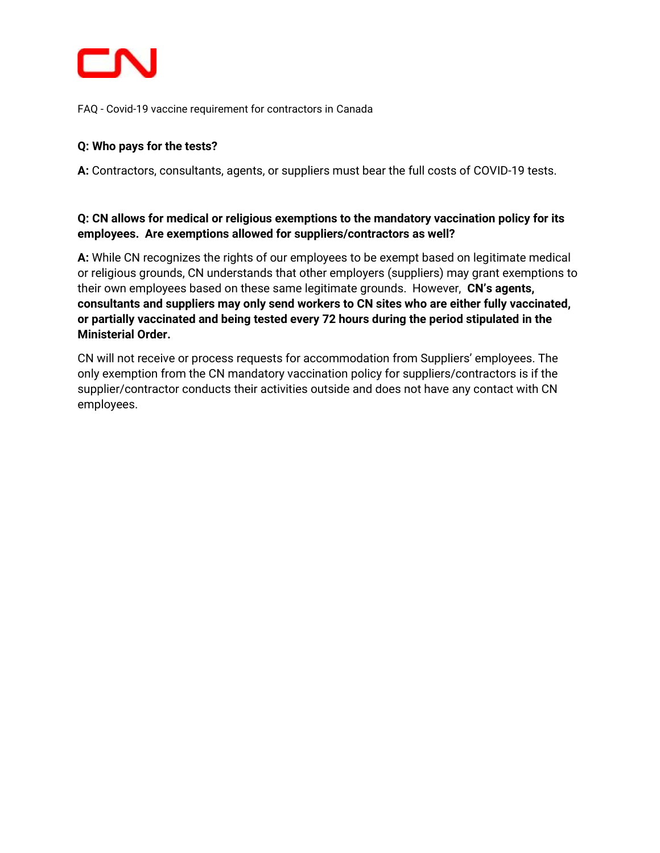

# **Q: Who pays for the tests?**

**A:** Contractors, consultants, agents, or suppliers must bear the full costs of COVID-19 tests.

## **Q: CN allows for medical or religious exemptions to the mandatory vaccination policy for its employees. Are exemptions allowed for suppliers/contractors as well?**

**A:** While CN recognizes the rights of our employees to be exempt based on legitimate medical or religious grounds, CN understands that other employers (suppliers) may grant exemptions to their own employees based on these same legitimate grounds. However, **CN's agents, consultants and suppliers may only send workers to CN sites who are either fully vaccinated, or partially vaccinated and being tested every 72 hours during the period stipulated in the Ministerial Order.** 

CN will not receive or process requests for accommodation from Suppliers' employees. The only exemption from the CN mandatory vaccination policy for suppliers/contractors is if the supplier/contractor conducts their activities outside and does not have any contact with CN employees.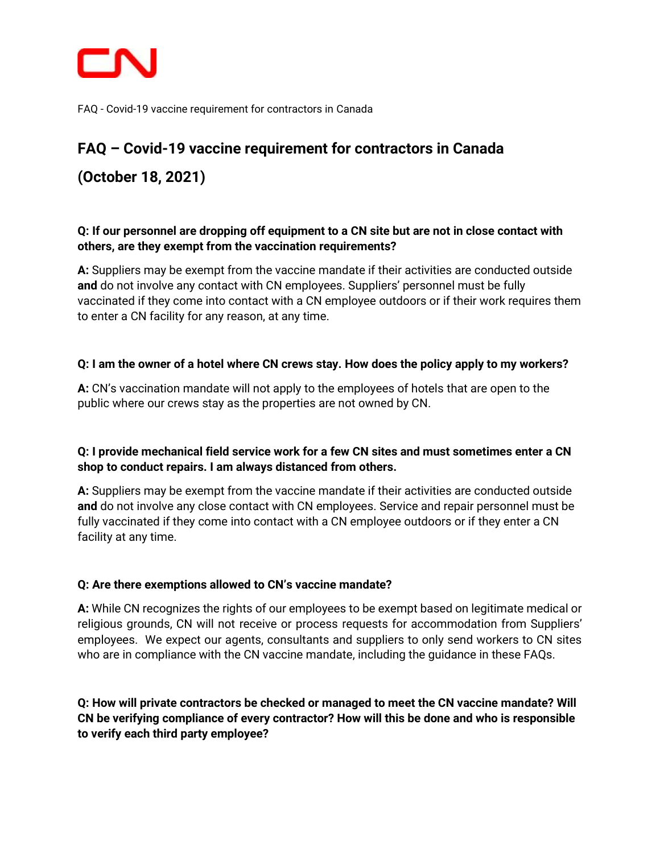

# **FAQ – Covid-19 vaccine requirement for contractors in Canada (October 18, 2021)**

# **Q: If our personnel are dropping off equipment to a CN site but are not in close contact with others, are they exempt from the vaccination requirements?**

**A:** Suppliers may be exempt from the vaccine mandate if their activities are conducted outside **and** do not involve any contact with CN employees. Suppliers' personnel must be fully vaccinated if they come into contact with a CN employee outdoors or if their work requires them to enter a CN facility for any reason, at any time.

# **Q: I am the owner of a hotel where CN crews stay. How does the policy apply to my workers?**

**A:** CN's vaccination mandate will not apply to the employees of hotels that are open to the public where our crews stay as the properties are not owned by CN.

# **Q: I provide mechanical field service work for a few CN sites and must sometimes enter a CN shop to conduct repairs. I am always distanced from others.**

**A:** Suppliers may be exempt from the vaccine mandate if their activities are conducted outside **and** do not involve any close contact with CN employees. Service and repair personnel must be fully vaccinated if they come into contact with a CN employee outdoors or if they enter a CN facility at any time.

### **Q: Are there exemptions allowed to CN's vaccine mandate?**

**A:** While CN recognizes the rights of our employees to be exempt based on legitimate medical or religious grounds, CN will not receive or process requests for accommodation from Suppliers' employees. We expect our agents, consultants and suppliers to only send workers to CN sites who are in compliance with the CN vaccine mandate, including the guidance in these FAQs.

# **Q: How will private contractors be checked or managed to meet the CN vaccine mandate? Will CN be verifying compliance of every contractor? How will this be done and who is responsible to verify each third party employee?**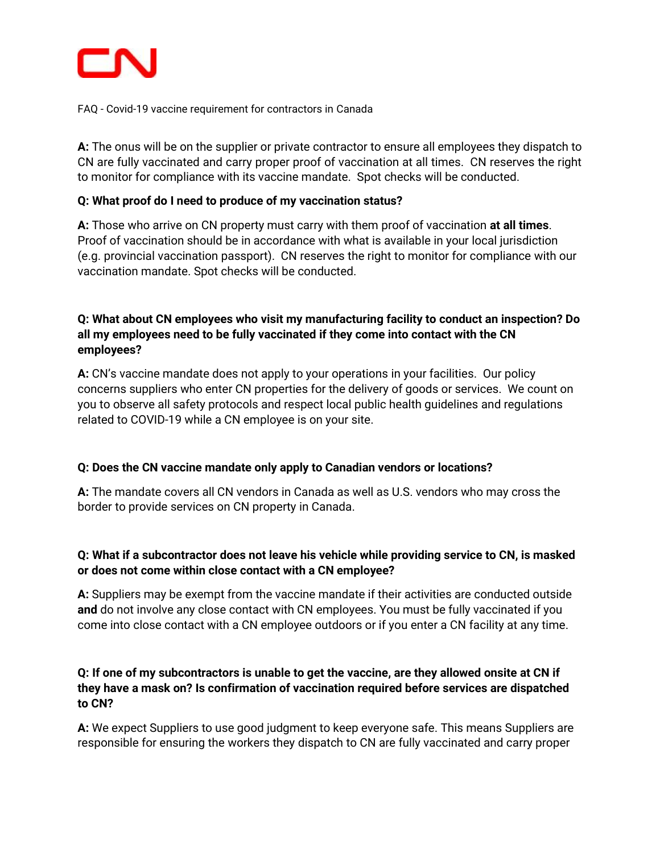

**A:** The onus will be on the supplier or private contractor to ensure all employees they dispatch to CN are fully vaccinated and carry proper proof of vaccination at all times. CN reserves the right to monitor for compliance with its vaccine mandate. Spot checks will be conducted.

#### **Q: What proof do I need to produce of my vaccination status?**

**A:** Those who arrive on CN property must carry with them proof of vaccination **at all times**. Proof of vaccination should be in accordance with what is available in your local jurisdiction (e.g. provincial vaccination passport). CN reserves the right to monitor for compliance with our vaccination mandate. Spot checks will be conducted.

# **Q: What about CN employees who visit my manufacturing facility to conduct an inspection? Do all my employees need to be fully vaccinated if they come into contact with the CN employees?**

**A:** CN's vaccine mandate does not apply to your operations in your facilities. Our policy concerns suppliers who enter CN properties for the delivery of goods or services. We count on you to observe all safety protocols and respect local public health guidelines and regulations related to COVID-19 while a CN employee is on your site.

### **Q: Does the CN vaccine mandate only apply to Canadian vendors or locations?**

**A:** The mandate covers all CN vendors in Canada as well as U.S. vendors who may cross the border to provide services on CN property in Canada.

# **Q: What if a subcontractor does not leave his vehicle while providing service to CN, is masked or does not come within close contact with a CN employee?**

**A:** Suppliers may be exempt from the vaccine mandate if their activities are conducted outside **and** do not involve any close contact with CN employees. You must be fully vaccinated if you come into close contact with a CN employee outdoors or if you enter a CN facility at any time.

## **Q: If one of my subcontractors is unable to get the vaccine, are they allowed onsite at CN if they have a mask on? Is confirmation of vaccination required before services are dispatched to CN?**

**A:** We expect Suppliers to use good judgment to keep everyone safe. This means Suppliers are responsible for ensuring the workers they dispatch to CN are fully vaccinated and carry proper